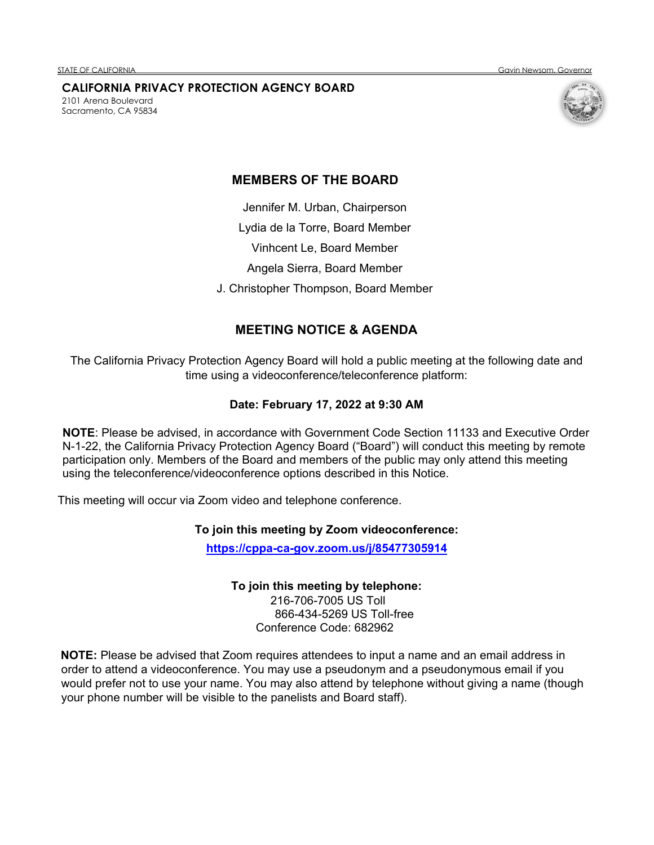**CALIFORNIA PRIVACY PROTECTION AGENCY BOARD** 2101 Arena Boulevard Sacramento, CA 95834





## **MEMBERS OF THE BOARD**

Jennifer M. Urban, Chairperson

Lydia de la Torre, Board Member

Vinhcent Le, Board Member

Angela Sierra, Board Member

J. Christopher Thompson, Board Member

# **MEETING NOTICE & AGENDA**

The California Privacy Protection Agency Board will hold a public meeting at the following date and time using a videoconference/teleconference platform:

## **Date: February 17, 2022 at 9:30 AM**

**NOTE**: Please be advised, in accordance with Government Code Section 11133 and Executive Order N-1-22, the California Privacy Protection Agency Board ("Board") will conduct this meeting by remote participation only. Members of the Board and members of the public may only attend this meeting using the teleconference/videoconference options described in this Notice.

This meeting will occur via Zoom video and telephone conference.

## **To join this meeting by Zoom videoconference:**

**[https://cppa-ca-gov.zoom.us/j/85477305914](https://urldefense.proofpoint.com/v2/url?u=https-3A__cppa-2Dca-2Dgov.zoom.us_j_85477305914&d=DwMFAw&c=LHIwbLRMLqgNuqr1uGLfTA&r=xVmGf0_fuT7A5OubVibBnb62ad0xW7gp7gs4pe14RSI&m=fP8GKJDHz-sIq78ZEBoqKvMFfBu2Af7SQJkC6ccaKEEfMr0FHHZ4JXMXtj06q0vB&s=DzvX3GH4WwYF6Ce1v43XWutxGshepOFJm5Xqeq0dpZI&e=)**

## **To join this meeting by telephone:**

 216-706-7005 US Toll 866-434-5269 US Toll-free Conference Code: 682962

**NOTE:** Please be advised that Zoom requires attendees to input a name and an email address in order to attend a videoconference. You may use a pseudonym and a pseudonymous email if you would prefer not to use your name. You may also attend by telephone without giving a name (though your phone number will be visible to the panelists and Board staff).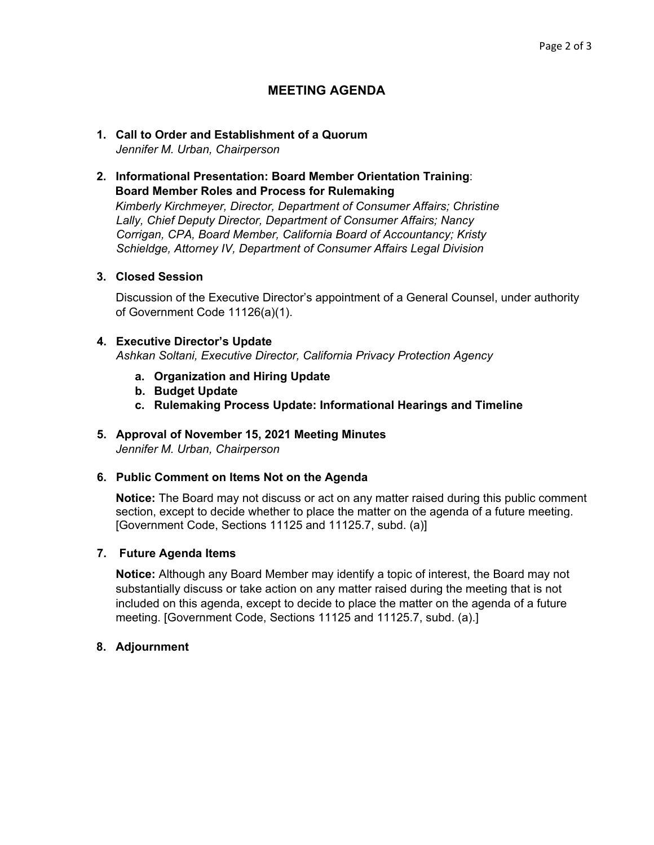## **MEETING AGENDA**

#### **1. Call to Order and Establishment of a Quorum** *Jennifer M. Urban, Chairperson*

### **2. Informational Presentation: Board Member Orientation Training**: **Board Member Roles and Process for Rulemaking**

*Kimberly Kirchmeyer, Director, Department of Consumer Affairs; Christine Lally, Chief Deputy Director, Department of Consumer Affairs; Nancy Corrigan, CPA, Board Member, California Board of Accountancy; Kristy Schieldge, Attorney IV, Department of Consumer Affairs Legal Division*

## **3. Closed Session**

Discussion of the Executive Director's appointment of a General Counsel, under authority of Government Code 11126(a)(1).

## **4. Executive Director's Update**

*Ashkan Soltani, Executive Director, California Privacy Protection Agency*

- **a. Organization and Hiring Update**
- **b. Budget Update**
- **c. Rulemaking Process Update: Informational Hearings and Timeline**
- **5. Approval of November 15, 2021 Meeting Minutes** *Jennifer M. Urban, Chairperson*

## **6. Public Comment on Items Not on the Agenda**

**Notice:** The Board may not discuss or act on any matter raised during this public comment section, except to decide whether to place the matter on the agenda of a future meeting. [Government Code, Sections 11125 and 11125.7, subd. (a)]

## **7. Future Agenda Items**

**Notice:** Although any Board Member may identify a topic of interest, the Board may not substantially discuss or take action on any matter raised during the meeting that is not included on this agenda, except to decide to place the matter on the agenda of a future meeting. [Government Code, Sections 11125 and 11125.7, subd. (a).]

## **8. Adjournment**